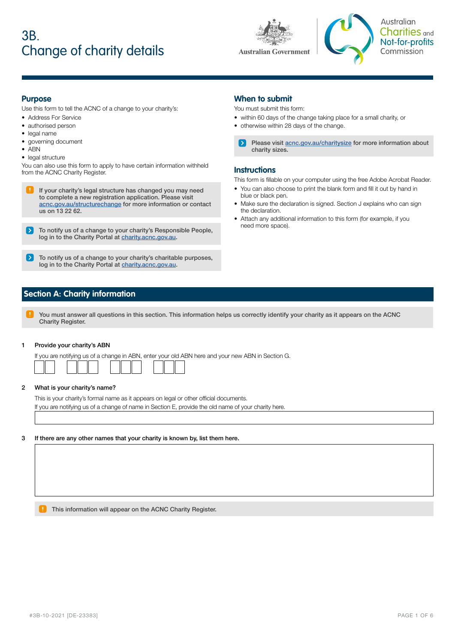# 3B. Change of charity details





Australian Charities <sub>and</sub> Not-for-profits Commission

### **Purpose**

Use this form to tell the ACNC of a change to your charity's:

- Address For Service
- authorised person
- legal name
- governing document
- ABN
- legal structure

You can also use this form to apply to have certain information withheld from the ACNC Charity Register.

- If your charity's legal structure has changed you may need to complete a new registration application. Please visit [acnc.gov.au/structurechange](http://acnc.gov.au/structurechange) for more information or contact us on 13 22 62.
- To notify us of a change to your charity's Responsible People, log in to the Charity Portal at [charity.acnc.gov.au](http://charity.acnc.gov.au).
- To notify us of a change to your charity's charitable purposes, log in to the Charity Portal at [charity.acnc.gov.au](http://charity.acnc.gov.au).

### **When to submit**

You must submit this form:

- within 60 days of the change taking place for a small charity, or
- otherwise within 28 days of the change.
	- Please visit [acnc.gov.au/charitysize](http://acnc.gov.au/charitysize) for more information about charity sizes.

### **Instructions**

This form is fillable on your computer using the free Adobe Acrobat Reader.

- You can also choose to print the blank form and fill it out by hand in blue or black pen.
- Make sure the declaration is signed. Section J explains who can sign the declaration.
- Attach any additional information to this form (for example, if you need more space).

### **Section A: Charity information**

You must answer all questions in this section. This information helps us correctly identify your charity as it appears on the ACNC Charity Register.

#### 1 Provide your charity's ABN

If you are notifying us of a change in ABN, enter your old ABN here and your new ABN in Section G.

#### 2 What is your charity's name?

This is your charity's formal name as it appears on legal or other official documents. If you are notifying us of a change of name in Section E, provide the old name of your charity here.

#### 3 If there are any other names that your charity is known by, list them here.

**This information will appear on the ACNC Charity Register.**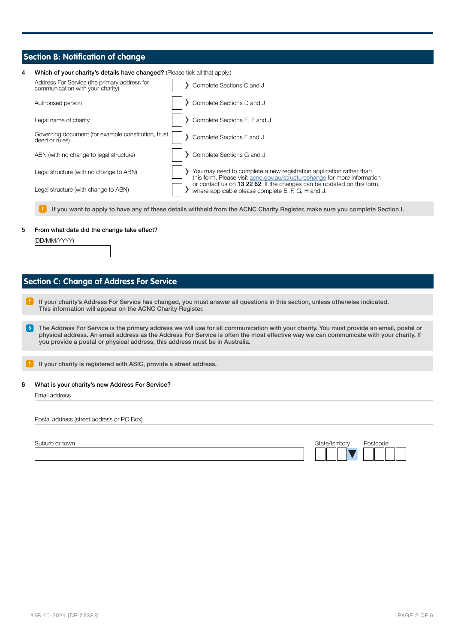### **Section B: Notification of change**

| 4 | Which of your charity's details have changed? (Please tick all that apply.)      |  |  |                                                                                                                                                  |  |
|---|----------------------------------------------------------------------------------|--|--|--------------------------------------------------------------------------------------------------------------------------------------------------|--|
|   | Address For Service (the primary address for<br>communication with your charity) |  |  | Complete Sections C and J                                                                                                                        |  |
|   | Authorised person                                                                |  |  | Complete Sections D and J                                                                                                                        |  |
|   | Legal name of charity                                                            |  |  | Complete Sections E, F and J                                                                                                                     |  |
|   | Governing document (for example constitution, trust<br>deed or rules)            |  |  | Complete Sections F and J                                                                                                                        |  |
|   | ABN (with no change to legal structure)                                          |  |  | Complete Sections G and J                                                                                                                        |  |
|   | Legal structure (with no change to ABN)                                          |  |  | You may need to complete a new registration application rather than<br>this form. Please visit acno.gov.au/structure change for more information |  |
|   | Legal structure (with change to ABN)                                             |  |  | or contact us on 13 22 62. If the changes can be updated on this form,<br>where applicable please complete E, F, G, H and J.                     |  |
|   |                                                                                  |  |  | If you want to apply to have any of these details withheld from the ACNC Charity Register, make sure you complete Section I.                     |  |

#### 5 From what date did the change take effect?

| (DD/MM/YYYY) |  |
|--------------|--|
|              |  |
|              |  |

### **Section C: Change of Address For Service**

- If your charity's Address For Service has changed, you must answer all questions in this section, unless otherwise indicated. This information will appear on the ACNC Charity Register.
- The Address For Service is the primary address we will use for all communication with your charity. You must provide an email, postal or physical address. An email address as the Address For Service is often the most effective way we can communicate with your charity. If you provide a postal or physical address, this address must be in Australia.
- If your charity is registered with ASIC, provide a street address.

#### 6 What is your charity's new Address For Service?

| Email address |  |
|---------------|--|
|---------------|--|

Postal address (street address or PO Box) Suburb or town **State/territory** Postcode **Contact Contact Contact Contact Contact Contact Contact Contact Contact Contact Contact Contact Contact Contact Contact Contact Contact Contact Contact Contact Contact Contact Con**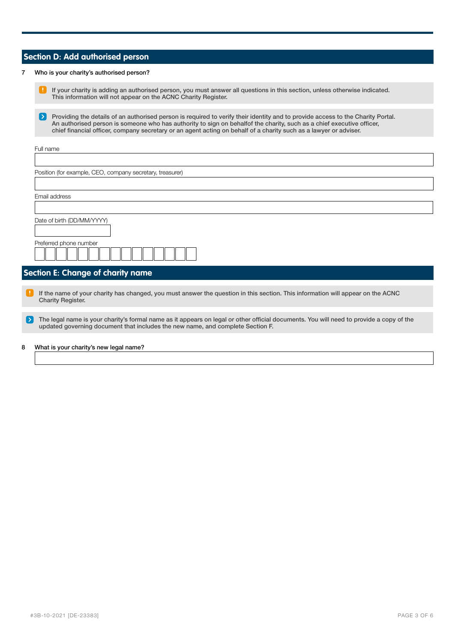### **Section D: Add authorised person**

#### 7 Who is your charity's authorised person?

If your charity is adding an authorised person, you must answer all questions in this section, unless otherwise indicated. This information will not appear on the ACNC Charity Register.

Ы Providing the details of an authorised person is required to verify their identity and to provide access to the Charity Portal. An authorised person is someone who has authority to sign on behalfof the charity, such as a chief executive officer, chief financial officer, company secretary or an agent acting on behalf of a charity such as a lawyer or adviser.

| Full name                                                 |  |  |
|-----------------------------------------------------------|--|--|
|                                                           |  |  |
| Position (for example, CEO, company secretary, treasurer) |  |  |
|                                                           |  |  |
| Email address                                             |  |  |
|                                                           |  |  |
| Date of birth (DD/MM/YYYY)                                |  |  |
| Preferred phone number                                    |  |  |

### **Section E: Change of charity name**

If the name of your charity has changed, you must answer the question in this section. This information will appear on the ACNC Charity Register.

5 The legal name is your charity's formal name as it appears on legal or other official documents. You will need to provide a copy of the updated governing document that includes the new name, and complete Section F.

#### 8 What is your charity's new legal name?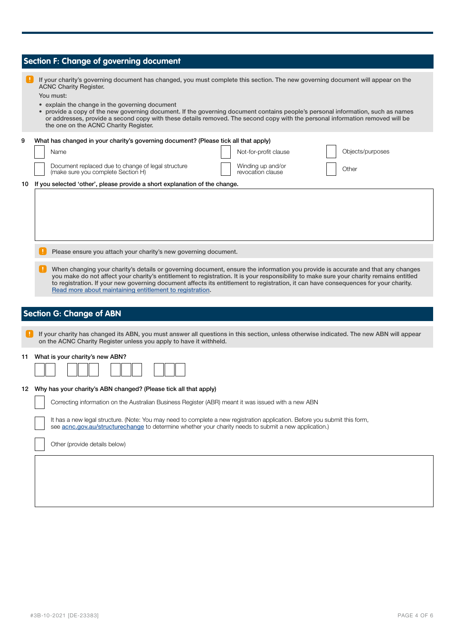## **Section F: Change of governing document**

|    | If your charity's governing document has changed, you must complete this section. The new governing document will appear on the<br><b>ACNC Charity Register.</b><br>You must:<br>• explain the change in the governing document<br>• provide a copy of the new governing document. If the governing document contains people's personal information, such as names<br>or addresses, provide a second copy with these details removed. The second copy with the personal information removed will be<br>the one on the ACNC Charity Register. |  |  |  |
|----|----------------------------------------------------------------------------------------------------------------------------------------------------------------------------------------------------------------------------------------------------------------------------------------------------------------------------------------------------------------------------------------------------------------------------------------------------------------------------------------------------------------------------------------------|--|--|--|
| 9  | What has changed in your charity's governing document? (Please tick all that apply)                                                                                                                                                                                                                                                                                                                                                                                                                                                          |  |  |  |
|    | Objects/purposes<br>Not-for-profit clause<br>Name                                                                                                                                                                                                                                                                                                                                                                                                                                                                                            |  |  |  |
|    | Document replaced due to change of legal structure<br>Winding up and/or<br>Other<br>(make sure you complete Section H)<br>revocation clause                                                                                                                                                                                                                                                                                                                                                                                                  |  |  |  |
| 10 | If you selected 'other', please provide a short explanation of the change.                                                                                                                                                                                                                                                                                                                                                                                                                                                                   |  |  |  |
|    |                                                                                                                                                                                                                                                                                                                                                                                                                                                                                                                                              |  |  |  |
|    | Please ensure you attach your charity's new governing document.                                                                                                                                                                                                                                                                                                                                                                                                                                                                              |  |  |  |
|    | When changing your charity's details or governing document, ensure the information you provide is accurate and that any changes<br>you make do not affect your charity's entitlement to registration. It is your responsibility to make sure your charity remains entitled<br>to registration. If your new governing document affects its entitlement to registration, it can have consequences for your charity.<br>Read more about maintaining entitlement to registration.                                                                |  |  |  |
|    |                                                                                                                                                                                                                                                                                                                                                                                                                                                                                                                                              |  |  |  |
|    | <b>Section G: Change of ABN</b>                                                                                                                                                                                                                                                                                                                                                                                                                                                                                                              |  |  |  |
|    | If your charity has changed its ABN, you must answer all questions in this section, unless otherwise indicated. The new ABN will appear<br>on the ACNC Charity Register unless you apply to have it withheld.                                                                                                                                                                                                                                                                                                                                |  |  |  |
| 11 | What is your charity's new ABN?                                                                                                                                                                                                                                                                                                                                                                                                                                                                                                              |  |  |  |
|    | 12 Why has your charity's ABN changed? (Please tick all that apply)                                                                                                                                                                                                                                                                                                                                                                                                                                                                          |  |  |  |
|    | Correcting information on the Australian Business Register (ABR) meant it was issued with a new ABN                                                                                                                                                                                                                                                                                                                                                                                                                                          |  |  |  |
|    | It has a new legal structure. (Note: You may need to complete a new registration application. Before you submit this form,<br>see acnc.gov.au/structurechange to determine whether your charity needs to submit a new application.)                                                                                                                                                                                                                                                                                                          |  |  |  |
|    | Other (provide details below)                                                                                                                                                                                                                                                                                                                                                                                                                                                                                                                |  |  |  |
|    |                                                                                                                                                                                                                                                                                                                                                                                                                                                                                                                                              |  |  |  |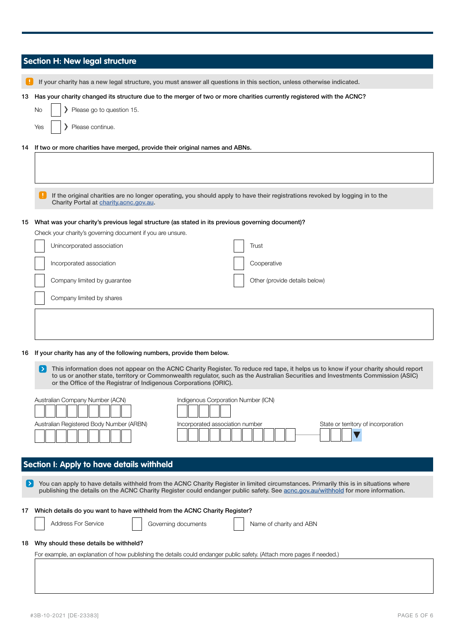|    | <b>Section H: New legal structure</b>                                                                                                                                                                                                                                                                                                         |  |  |  |
|----|-----------------------------------------------------------------------------------------------------------------------------------------------------------------------------------------------------------------------------------------------------------------------------------------------------------------------------------------------|--|--|--|
|    | If your charity has a new legal structure, you must answer all questions in this section, unless otherwise indicated.                                                                                                                                                                                                                         |  |  |  |
| 13 | Has your charity changed its structure due to the merger of two or more charities currently registered with the ACNC?                                                                                                                                                                                                                         |  |  |  |
|    | Please go to question 15.<br>No                                                                                                                                                                                                                                                                                                               |  |  |  |
|    | Please continue.<br>Yes                                                                                                                                                                                                                                                                                                                       |  |  |  |
| 14 | If two or more charities have merged, provide their original names and ABNs.                                                                                                                                                                                                                                                                  |  |  |  |
|    |                                                                                                                                                                                                                                                                                                                                               |  |  |  |
|    | If the original charities are no longer operating, you should apply to have their registrations revoked by logging in to the<br>Charity Portal at charity.acnc.gov.au.                                                                                                                                                                        |  |  |  |
| 15 | What was your charity's previous legal structure (as stated in its previous governing document)?                                                                                                                                                                                                                                              |  |  |  |
|    | Check your charity's governing document if you are unsure.                                                                                                                                                                                                                                                                                    |  |  |  |
|    | Unincorporated association<br>Trust                                                                                                                                                                                                                                                                                                           |  |  |  |
|    | Incorporated association<br>Cooperative                                                                                                                                                                                                                                                                                                       |  |  |  |
|    | Company limited by guarantee<br>Other (provide details below)                                                                                                                                                                                                                                                                                 |  |  |  |
|    | Company limited by shares                                                                                                                                                                                                                                                                                                                     |  |  |  |
|    |                                                                                                                                                                                                                                                                                                                                               |  |  |  |
|    |                                                                                                                                                                                                                                                                                                                                               |  |  |  |
|    |                                                                                                                                                                                                                                                                                                                                               |  |  |  |
| 16 | If your charity has any of the following numbers, provide them below.                                                                                                                                                                                                                                                                         |  |  |  |
|    | This information does not appear on the ACNC Charity Register. To reduce red tape, it helps us to know if your charity should report<br>to us or another state, territory or Commonwealth regulator, such as the Australian Securities and Investments Commission (ASIC)<br>or the Office of the Registrar of Indigenous Corporations (ORIC). |  |  |  |
|    | Australian Company Number (ACN)<br>Indigenous Corporation Number (ICN)                                                                                                                                                                                                                                                                        |  |  |  |
|    | Australian Registered Body Number (ARBN)<br>Incorporated association number<br>State or territory of incorporation                                                                                                                                                                                                                            |  |  |  |
|    |                                                                                                                                                                                                                                                                                                                                               |  |  |  |
|    | Section I: Apply to have details withheld                                                                                                                                                                                                                                                                                                     |  |  |  |
|    | You can apply to have details withheld from the ACNC Charity Register in limited circumstances. Primarily this is in situations where<br>publishing the details on the ACNC Charity Register could endanger public safety. See acnc.gov.au/withhold for more information.                                                                     |  |  |  |
| 1/ | Which details do you want to have withheld from the ACNC Charity Register?                                                                                                                                                                                                                                                                    |  |  |  |
|    | <b>Address For Service</b><br>Governing documents<br>Name of charity and ABN                                                                                                                                                                                                                                                                  |  |  |  |
| 18 | Why should these details be withheld?                                                                                                                                                                                                                                                                                                         |  |  |  |
|    | For example, an explanation of how publishing the details could endanger public safety. (Attach more pages if needed.)                                                                                                                                                                                                                        |  |  |  |
|    |                                                                                                                                                                                                                                                                                                                                               |  |  |  |
|    |                                                                                                                                                                                                                                                                                                                                               |  |  |  |